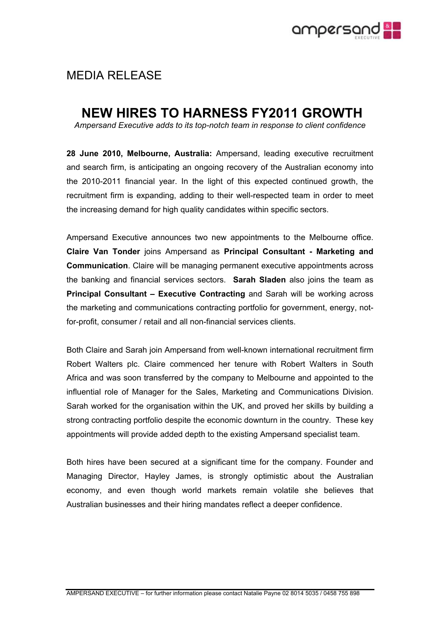

## MEDIA RELEASE

## **NEW HIRES TO HARNESS FY2011 GROWTH**

*Ampersand Executive adds to its top-notch team in response to client confidence*

**28 June 2010, Melbourne, Australia:** Ampersand, leading executive recruitment and search firm, is anticipating an ongoing recovery of the Australian economy into the 2010-2011 financial year. In the light of this expected continued growth, the recruitment firm is expanding, adding to their well-respected team in order to meet the increasing demand for high quality candidates within specific sectors.

Ampersand Executive announces two new appointments to the Melbourne office. **Claire Van Tonder** joins Ampersand as **Principal Consultant - Marketing and Communication**. Claire will be managing permanent executive appointments across the banking and financial services sectors. **Sarah Sladen** also joins the team as **Principal Consultant – Executive Contracting** and Sarah will be working across the marketing and communications contracting portfolio for government, energy, notfor-profit, consumer / retail and all non-financial services clients.

Both Claire and Sarah join Ampersand from well-known international recruitment firm Robert Walters plc. Claire commenced her tenure with Robert Walters in South Africa and was soon transferred by the company to Melbourne and appointed to the influential role of Manager for the Sales, Marketing and Communications Division. Sarah worked for the organisation within the UK, and proved her skills by building a strong contracting portfolio despite the economic downturn in the country. These key appointments will provide added depth to the existing Ampersand specialist team.

Both hires have been secured at a significant time for the company. Founder and Managing Director, Hayley James, is strongly optimistic about the Australian economy, and even though world markets remain volatile she believes that Australian businesses and their hiring mandates reflect a deeper confidence.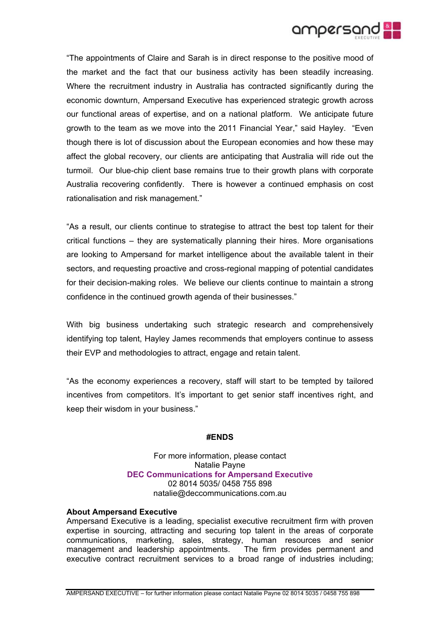

"The appointments of Claire and Sarah is in direct response to the positive mood of the market and the fact that our business activity has been steadily increasing. Where the recruitment industry in Australia has contracted significantly during the economic downturn, Ampersand Executive has experienced strategic growth across our functional areas of expertise, and on a national platform. We anticipate future growth to the team as we move into the 2011 Financial Year," said Hayley. "Even though there is lot of discussion about the European economies and how these may affect the global recovery, our clients are anticipating that Australia will ride out the turmoil. Our blue-chip client base remains true to their growth plans with corporate Australia recovering confidently. There is however a continued emphasis on cost rationalisation and risk management."

"As a result, our clients continue to strategise to attract the best top talent for their critical functions – they are systematically planning their hires. More organisations are looking to Ampersand for market intelligence about the available talent in their sectors, and requesting proactive and cross-regional mapping of potential candidates for their decision-making roles. We believe our clients continue to maintain a strong confidence in the continued growth agenda of their businesses."

With big business undertaking such strategic research and comprehensively identifying top talent, Hayley James recommends that employers continue to assess their EVP and methodologies to attract, engage and retain talent.

"As the economy experiences a recovery, staff will start to be tempted by tailored incentives from competitors. It's important to get senior staff incentives right, and keep their wisdom in your business."

## **#ENDS**

For more information, please contact Natalie Payne **DEC Communications for Ampersand Executive** 02 8014 5035/ 0458 755 898 natalie@deccommunications.com.au

## **About Ampersand Executive**

Ampersand Executive is a leading, specialist executive recruitment firm with proven expertise in sourcing, attracting and securing top talent in the areas of corporate communications, marketing, sales, strategy, human resources and senior management and leadership appointments. The firm provides permanent and executive contract recruitment services to a broad range of industries including;